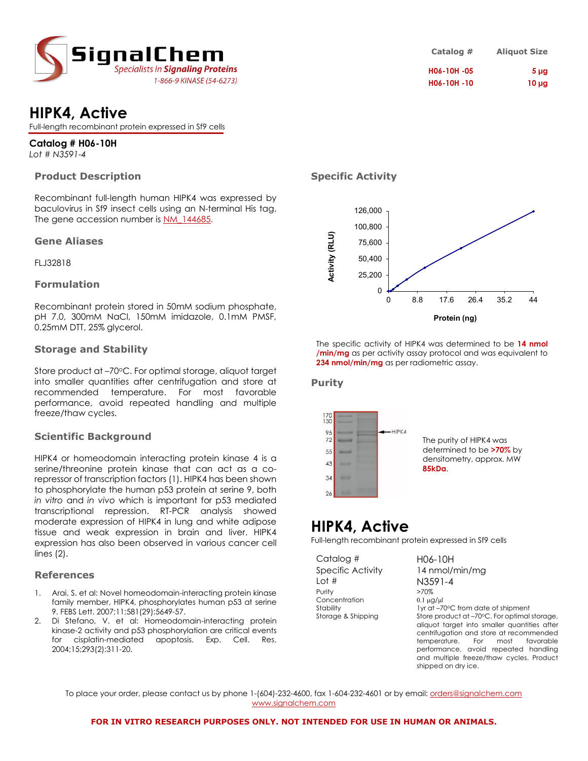

# **HIPK4, Active**

Full-length recombinant protein expressed in Sf9 cells

**Catalog # H06-10H** *Lot # N3591-4*

#### **Product Description**

Recombinant full-length human HIPK4 was expressed by baculovirus in Sf9 insect cells using an N-terminal His tag. The gene accession number is NM 144685.

#### **Gene Aliases**

FLJ32818

#### **Formulation**

Recombinant protein stored in 50mM sodium phosphate, pH 7.0, 300mM NaCl, 150mM imidazole, 0.1mM PMSF, 0.25mM DTT, 25% glycerol.

#### **Storage and Stability**

Store product at -70°C. For optimal storage, aliquot target into smaller quantities after centrifugation and store at recommended temperature. For most favorable performance, avoid repeated handling and multiple freeze/thaw cycles.

#### **Scientific Background**

HIPK4 or homeodomain interacting protein kinase 4 is a serine/threonine protein kinase that can act as a corepressor of transcription factors (1). HIPK4 has been shown to phosphorylate the human p53 protein at serine 9, both *in vitro* and *in vivo* which is important for p53 mediated transcriptional repression. RT-PCR analysis showed moderate expression of HIPK4 in lung and white adipose tissue and weak expression in brain and liver. HIPK4 expression has also been observed in various cancer cell lines (2).

#### **References**

- [Arai, S.](http://www.ncbi.nlm.nih.gov/sites/entrez?Db=pubmed&Cmd=Search&Term=%22Arai%20S%22%5BAuthor%5D&itool=EntrezSystem2.PEntrez.Pubmed.Pubmed_ResultsPanel.Pubmed_RVAbstract) et al: Novel homeodomain-interacting protein kinase family member, HIPK4, phosphorylates human p53 at serine 9. FEBS Lett. 2007;11;581(29):5649-57.
- Di Stefano, V. et al: Homeodomain-interacting protein kinase-2 activity and p53 phosphorylation are critical events for cisplatin-mediated apoptosis. [Exp. Cell. Res.](javascript:AL_get(this,%20) 2004;15;293(2):311-20.

| Catalog #   | <b>Aliquot Size</b> |
|-------------|---------------------|
| H06-10H -05 | 5 <sub>µq</sub>     |
| H06-10H -10 | $10 \mu g$          |

## **Specific Activity**



The specific activity of HIPK4 was determined to be **14 nmol /min/mg** as per activity assay protocol and was equivalent to **234 nmol/min/mg** as per radiometric assay.

#### **Purity**



# **HIPK4, Active**

Full-length recombinant protein expressed in Sf9 cells

Catalog # H06-10H Specific Activity 14 nmol/min/mg Lot #  $N3591-4$ <br>Purity  $>70\%$ Purity Concentration 0.1 µg/µl

Stability 1yr at –70°C from date of shipment<br>Storage & Shipping Store product at –70°C. For optimal Store product at –70°C. For optimal storage, aliquot target into smaller quantities after centrifugation and store at recommended temperature. For most favorable performance, avoid repeated handling and multiple freeze/thaw cycles. Product shipped on dry ice.

To place your order, please contact us by phone 1-(604)-232-4600, fax 1-604-232-4601 or by email: [orders@signalchem.com](mailto:orders@signalchem.com) [www.signalchem.com](http://www.signalchem.com/)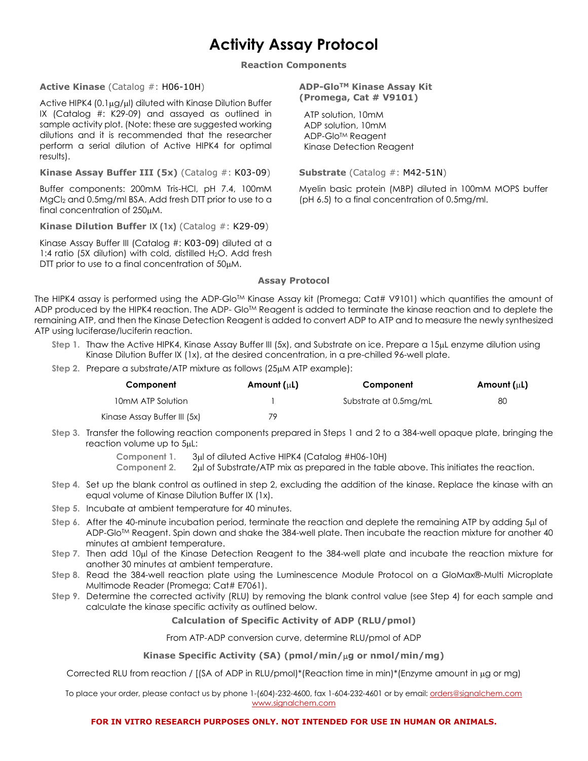# **Activity Assay Protocol**

**Reaction Components**

#### **Active Kinase** (Catalog #: H06-10H)

Active HIPK4 (0.1 $\mu$ g/ $\mu$ I) diluted with Kinase Dilution Buffer IX (Catalog #: K29-09) and assayed as outlined in sample activity plot. (Note: these are suggested working dilutions and it is recommended that the researcher perform a serial dilution of Active HIPK4 for optimal results).

**Kinase Assay Buffer III (5x)** (Catalog #: K03-09)

Buffer components: 200mM Tris-HCl, pH 7.4, 100mM MgCl2 and 0.5mg/ml BSA. Add fresh DTT prior to use to a final concentration of 250µM.

**Kinase Dilution Buffer IX (1x)** (Catalog #: K29-09)

Kinase Assay Buffer III (Catalog #: K03-09) diluted at a 1:4 ratio (5X dilution) with cold, distilled H<sub>2</sub>O. Add fresh DTT prior to use to a final concentration of  $50 \mu M$ .

#### **ADP-GloTM Kinase Assay Kit (Promega, Cat # V9101)**

 ATP solution, 10mM ADP solution, 10mM ADP-Glo<sup>™</sup> Reagent Kinase Detection Reagent

**Substrate** (Catalog #: M42-51N)

Myelin basic protein (MBP) diluted in 100mM MOPS buffer (pH 6.5) to a final concentration of 0.5mg/ml.

#### **Assay Protocol**

The HIPK4 assay is performed using the ADP-Glo™ Kinase Assay kit (Promega; Cat# V9101) which quantifies the amount of ADP produced by the HIPK4 reaction. The ADP- Glo<sup>TM</sup> Reagent is added to terminate the kinase reaction and to deplete the remaining ATP, and then the Kinase Detection Reagent is added to convert ADP to ATP and to measure the newly synthesized ATP using luciferase/luciferin reaction.

- **Step 1.** Thaw the Active HIPK4, Kinase Assay Buffer III (5x), and Substrate on ice. Prepare a 15µL enzyme dilution using Kinase Dilution Buffer IX (1x), at the desired concentration, in a pre-chilled 96-well plate.
- **Step 2.** Prepare a substrate/ATP mixture as follows (25µM ATP example):

| Component                    | Amount $(uL)$ | Component             | Amount $(uL)$ |
|------------------------------|---------------|-----------------------|---------------|
| 10mM ATP Solution            |               | Substrate at 0.5mg/mL | 80            |
| Kinase Assay Buffer III (5x) | 79            |                       |               |

**Step 3.** Transfer the following reaction components prepared in Steps 1 and 2 to a 384-well opaque plate, bringing the reaction volume up to 5µL:

**Component 1.** 3µl of diluted Active HIPK4 (Catalog #H06-10H)

- **Component 2.** 2µl of Substrate/ATP mix as prepared in the table above. This initiates the reaction.
- **Step 4.** Set up the blank control as outlined in step 2, excluding the addition of the kinase. Replace the kinase with an equal volume of Kinase Dilution Buffer IX (1x).
- **Step 5.** Incubate at ambient temperature for 40 minutes.
- **Step 6.** After the 40-minute incubation period, terminate the reaction and deplete the remaining ATP by adding 5µl of ADP-Glo<sup>TM</sup> Reagent. Spin down and shake the 384-well plate. Then incubate the reaction mixture for another 40 minutes at ambient temperature.
- **Step 7.** Then add 10µl of the Kinase Detection Reagent to the 384-well plate and incubate the reaction mixture for another 30 minutes at ambient temperature.
- **Step 8.** Read the 384-well reaction plate using the Luminescence Module Protocol on a GloMax®-Multi Microplate Multimode Reader (Promega; Cat# E7061).
- **Step 9.** Determine the corrected activity (RLU) by removing the blank control value (see Step 4) for each sample and calculate the kinase specific activity as outlined below.

**Calculation of Specific Activity of ADP (RLU/pmol)**

From ATP-ADP conversion curve, determine RLU/pmol of ADP

#### **Kinase Specific Activity (SA) (pmol/min/**µ**g or nmol/min/mg)**

Corrected RLU from reaction / [(SA of ADP in RLU/pmol)\*(Reaction time in min)\*(Enzyme amount in µg or mg)

To place your order, please contact us by phone 1-(604)-232-4600, fax 1-604-232-4601 or by email: [orders@signalchem.com](mailto:orders@signalchem.com) [www.signalchem.com](http://www.signalchem.com/)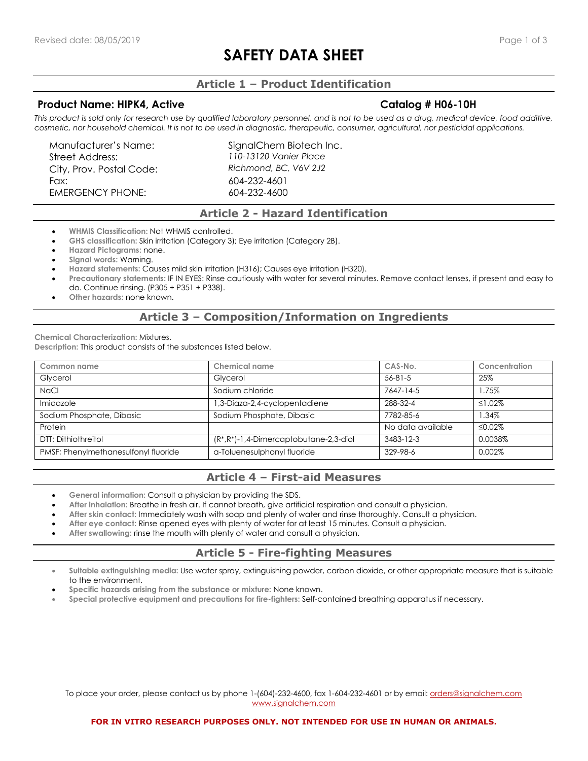# **SAFETY DATA SHEET**

# **Article 1 – Product Identification**

#### **Product Name: HIPK4, Active Catalog # H06-10H**

This product is sold only for research use by qualified laboratory personnel, and is not to be used as a drug, medical device, food additive, *cosmetic, nor household chemical. It is not to be used in diagnostic, therapeutic, consumer, agricultural, nor pesticidal applications.*

Street Address: *110-13120 Vanier Place* City, Prov. Postal Code: *Richmond, BC, V6V 2J2* Fax: 604-232-4601 EMERGENCY PHONE: 604-232-4600

Manufacturer's Name: SignalChem Biotech Inc.

#### **Article 2 - Hazard Identification**

- **WHMIS Classification:** Not WHMIS controlled.
- **GHS classification:** Skin irritation (Category 3); Eye irritation (Category 2B).
- **Hazard Pictograms:** none.
- **Signal words:** Warning.
- **Hazard statements:** Causes mild skin irritation (H316); Causes eye irritation (H320).
- **Precautionary statements:** IF IN EYES: Rinse cautiously with water for several minutes. Remove contact lenses, if present and easy to do. Continue rinsing. (P305 + P351 + P338).
- **Other hazards:** none known.

## **Article 3 – Composition/Information on Ingredients**

**Chemical Characterization:** Mixtures. **Description:** This product consists of the substances listed below.

| Common name                          | Chemical name                               | CAS-No.           | Concentration |
|--------------------------------------|---------------------------------------------|-------------------|---------------|
| Glycerol                             | Glycerol                                    | $56 - 81 - 5$     | 25%           |
| <b>NaCl</b>                          | Sodium chloride                             | 7647-14-5         | 1.75%         |
| Imidazole                            | 1,3-Diaza-2,4-cyclopentadiene               | 288-32-4          | ≤1.02%        |
| Sodium Phosphate, Dibasic            | Sodium Phosphate, Dibasic                   | 7782-85-6         | 1.34%         |
| Protein                              |                                             | No data available | ≤0.02%        |
| DTT: Dithiothreitol                  | $(R^*, R^*)$ -1,4-Dimercaptobutane-2,3-diol | 3483-12-3         | 0.0038%       |
| PMSF; Phenylmethanesulfonyl fluoride | a-Toluenesulphonyl fluoride                 | 329-98-6          | $0.002\%$     |

# **Article 4 – First-aid Measures**

- **General information:** Consult a physician by providing the SDS.
- **After inhalation:** Breathe in fresh air. If cannot breath, give artificial respiration and consult a physician.
- **After skin contact:** Immediately wash with soap and plenty of water and rinse thoroughly. Consult a physician.
- **After eye contact:** Rinse opened eyes with plenty of water for at least 15 minutes. Consult a physician.
- After swallowing: rinse the mouth with plenty of water and consult a physician.

## **Article 5 - Fire-fighting Measures**

- **Suitable extinguishing media:** Use water spray, extinguishing powder, carbon dioxide, or other appropriate measure that is suitable to the environment.
- **Specific hazards arising from the substance or mixture:** None known.
- **Special protective equipment and precautions for fire-fighters:** Self-contained breathing apparatus if necessary.

To place your order, please contact us by phone 1-(604)-232-4600, fax 1-604-232-4601 or by email: [orders@signalchem.com](mailto:orders@signalchem.com) [www.signalchem.com](http://www.signalchem.com/)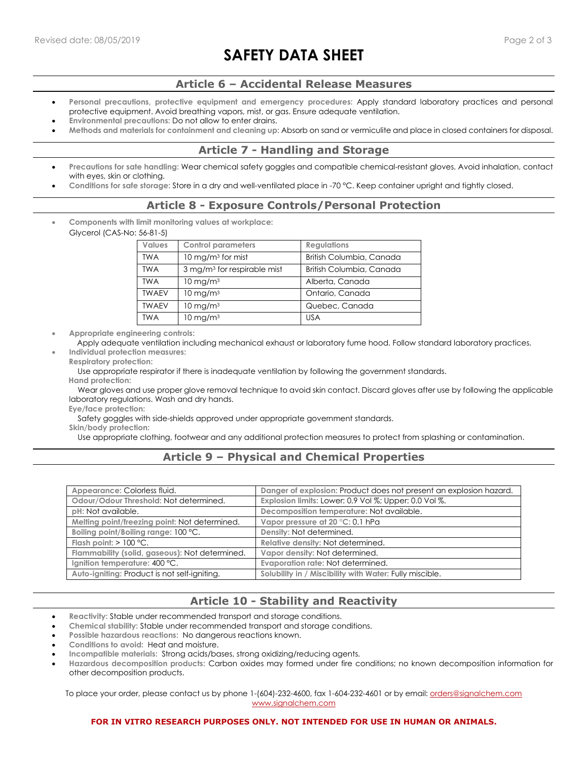# **SAFETY DATA SHEET**

## **Article 6 – Accidental Release Measures**

- **Personal precautions, protective equipment and emergency procedures:** Apply standard laboratory practices and personal protective equipment. Avoid breathing vapors, mist, or gas. Ensure adequate ventilation.
- **Environmental precautions:** Do not allow to enter drains.
- **Methods and materials for containment and cleaning up:** Absorb on sand or vermiculite and place in closed containers for disposal.

# **Article 7 - Handling and Storage**

- **Precautions for sate handling:** Wear chemical safety goggles and compatible chemical-resistant gloves. Avoid inhalation, contact with eyes, skin or clothing.
- **Conditions for safe storage:** Store in a dry and well-ventilated place in -70 °C. Keep container upright and tightly closed.

# **Article 8 - Exposure Controls/Personal Protection**

• **Components with limit monitoring values at workplace:**  Glycerol (CAS-No: 56-81-5)

| <b>Values</b> | <b>Control parameters</b>               | <b>Regulations</b>       |
|---------------|-----------------------------------------|--------------------------|
| <b>TWA</b>    | 10 mg/m <sup>3</sup> for mist           | British Columbia, Canada |
| <b>TWA</b>    | 3 mg/m <sup>3</sup> for respirable mist | British Columbia, Canada |
| <b>TWA</b>    | $10 \text{ mg/m}^3$                     | Alberta, Canada          |
| <b>TWAEV</b>  | $10 \text{ mg/m}^3$                     | Ontario, Canada          |
| <b>TWAEV</b>  | $10 \text{ mg/m}^3$                     | Quebec, Canada           |
| <b>TWA</b>    | $10 \text{ mg/m}^3$                     | <b>USA</b>               |
|               |                                         |                          |

• **Appropriate engineering controls:**

 Apply adequate ventilation including mechanical exhaust or laboratory fume hood. Follow standard laboratory practices. • **Individual protection measures:** 

**Respiratory protection:**

Use appropriate respirator if there is inadequate ventilation by following the government standards.

**Hand protection:**

 Wear gloves and use proper glove removal technique to avoid skin contact. Discard gloves after use by following the applicable laboratory regulations. Wash and dry hands.

**Eye/face protection:**

Safety goggles with side-shields approved under appropriate government standards.

**Skin/body protection:**

Use appropriate clothing, footwear and any additional protection measures to protect from splashing or contamination.

# **Article 9 – Physical and Chemical Properties**

| Appearance: Colorless fluid.                   | Danger of explosion: Product does not present an explosion hazard. |
|------------------------------------------------|--------------------------------------------------------------------|
| Odour/Odour Threshold: Not determined.         | Explosion limits: Lower: 0.9 Vol %; Upper: 0.0 Vol %.              |
| pH: Not available.                             | Decomposition temperature: Not available.                          |
| Melting point/freezing point: Not determined.  | Vapor pressure at 20 °C: 0.1 hPa                                   |
| Boiling point/Boiling range: 100 °C.           | Density: Not determined.                                           |
| Flash point: $> 100$ °C.                       | Relative density: Not determined.                                  |
| Flammability (solid, gaseous): Not determined. | Vapor density: Not determined.                                     |
| Ignition temperature: 400 °C.                  | Evaporation rate: Not determined.                                  |
| Auto-igniting: Product is not self-igniting.   | Solubility in / Miscibility with Water: Fully miscible.            |

# **Article 10 - Stability and Reactivity**

- **Reactivity:** Stable under recommended transport and storage conditions.
- **Chemical stability:** Stable under recommended transport and storage conditions.
- **Possible hazardous reactions:** No dangerous reactions known.
- **Conditions to avoid:** Heat and moisture.
- **Incompatible materials:** Strong acids/bases, strong oxidizing/reducing agents.
- **Hazardous decomposition products:** Carbon oxides may formed under fire conditions; no known decomposition information for other decomposition products.

To place your order, please contact us by phone 1-(604)-232-4600, fax 1-604-232-4601 or by email: *orders@signalchem.com* [www.signalchem.com](http://www.signalchem.com/)